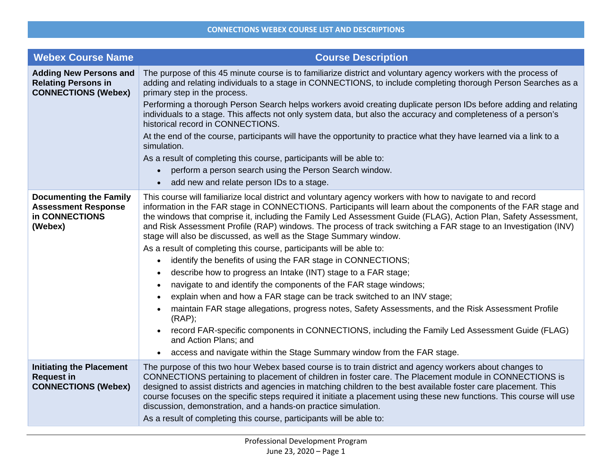| <b>Webex Course Name</b>                                                                  | <b>Course Description</b>                                                                                                                                                                                                                                                                                                                                                                                                                                                                                                                                                                                                                                                                                                                                                                                                                                                                                                                                                                                                                                                                                                                                                                |
|-------------------------------------------------------------------------------------------|------------------------------------------------------------------------------------------------------------------------------------------------------------------------------------------------------------------------------------------------------------------------------------------------------------------------------------------------------------------------------------------------------------------------------------------------------------------------------------------------------------------------------------------------------------------------------------------------------------------------------------------------------------------------------------------------------------------------------------------------------------------------------------------------------------------------------------------------------------------------------------------------------------------------------------------------------------------------------------------------------------------------------------------------------------------------------------------------------------------------------------------------------------------------------------------|
| <b>Adding New Persons and</b><br><b>Relating Persons in</b><br><b>CONNECTIONS (Webex)</b> | The purpose of this 45 minute course is to familiarize district and voluntary agency workers with the process of<br>adding and relating individuals to a stage in CONNECTIONS, to include completing thorough Person Searches as a<br>primary step in the process.                                                                                                                                                                                                                                                                                                                                                                                                                                                                                                                                                                                                                                                                                                                                                                                                                                                                                                                       |
|                                                                                           | Performing a thorough Person Search helps workers avoid creating duplicate person IDs before adding and relating<br>individuals to a stage. This affects not only system data, but also the accuracy and completeness of a person's<br>historical record in CONNECTIONS.                                                                                                                                                                                                                                                                                                                                                                                                                                                                                                                                                                                                                                                                                                                                                                                                                                                                                                                 |
|                                                                                           | At the end of the course, participants will have the opportunity to practice what they have learned via a link to a<br>simulation.                                                                                                                                                                                                                                                                                                                                                                                                                                                                                                                                                                                                                                                                                                                                                                                                                                                                                                                                                                                                                                                       |
|                                                                                           | As a result of completing this course, participants will be able to:                                                                                                                                                                                                                                                                                                                                                                                                                                                                                                                                                                                                                                                                                                                                                                                                                                                                                                                                                                                                                                                                                                                     |
|                                                                                           | perform a person search using the Person Search window.                                                                                                                                                                                                                                                                                                                                                                                                                                                                                                                                                                                                                                                                                                                                                                                                                                                                                                                                                                                                                                                                                                                                  |
|                                                                                           | add new and relate person IDs to a stage.<br>$\bullet$                                                                                                                                                                                                                                                                                                                                                                                                                                                                                                                                                                                                                                                                                                                                                                                                                                                                                                                                                                                                                                                                                                                                   |
| <b>Documenting the Family</b><br><b>Assessment Response</b><br>in CONNECTIONS<br>(Webex)  | This course will familiarize local district and voluntary agency workers with how to navigate to and record<br>information in the FAR stage in CONNECTIONS. Participants will learn about the components of the FAR stage and<br>the windows that comprise it, including the Family Led Assessment Guide (FLAG), Action Plan, Safety Assessment,<br>and Risk Assessment Profile (RAP) windows. The process of track switching a FAR stage to an Investigation (INV)<br>stage will also be discussed, as well as the Stage Summary window.<br>As a result of completing this course, participants will be able to:<br>identify the benefits of using the FAR stage in CONNECTIONS;<br>$\bullet$<br>describe how to progress an Intake (INT) stage to a FAR stage;<br>$\bullet$<br>navigate to and identify the components of the FAR stage windows;<br>$\bullet$<br>explain when and how a FAR stage can be track switched to an INV stage;<br>$\bullet$<br>maintain FAR stage allegations, progress notes, Safety Assessments, and the Risk Assessment Profile<br>$\bullet$<br>(RAP);<br>record FAR-specific components in CONNECTIONS, including the Family Led Assessment Guide (FLAG) |
|                                                                                           | and Action Plans; and<br>access and navigate within the Stage Summary window from the FAR stage.<br>$\bullet$                                                                                                                                                                                                                                                                                                                                                                                                                                                                                                                                                                                                                                                                                                                                                                                                                                                                                                                                                                                                                                                                            |
| <b>Initiating the Placement</b><br><b>Request in</b><br><b>CONNECTIONS (Webex)</b>        | The purpose of this two hour Webex based course is to train district and agency workers about changes to<br>CONNECTIONS pertaining to placement of children in foster care. The Placement module in CONNECTIONS is<br>designed to assist districts and agencies in matching children to the best available foster care placement. This<br>course focuses on the specific steps required it initiate a placement using these new functions. This course will use<br>discussion, demonstration, and a hands-on practice simulation.<br>As a result of completing this course, participants will be able to:                                                                                                                                                                                                                                                                                                                                                                                                                                                                                                                                                                                |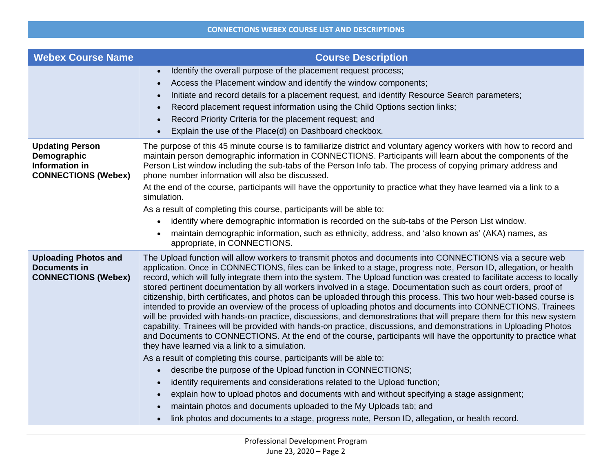## **CONNECTIONS WEBEX COURSE LIST AND DESCRIPTIONS**

| <b>Webex Course Name</b>                                                              | <b>Course Description</b>                                                                                                                                                                                                                                                                                                                                                                                                                                                                                                                                                                                                                                                                                                                                                                                                                                                                                                                                                                                                                                                                                                           |
|---------------------------------------------------------------------------------------|-------------------------------------------------------------------------------------------------------------------------------------------------------------------------------------------------------------------------------------------------------------------------------------------------------------------------------------------------------------------------------------------------------------------------------------------------------------------------------------------------------------------------------------------------------------------------------------------------------------------------------------------------------------------------------------------------------------------------------------------------------------------------------------------------------------------------------------------------------------------------------------------------------------------------------------------------------------------------------------------------------------------------------------------------------------------------------------------------------------------------------------|
|                                                                                       | Identify the overall purpose of the placement request process;                                                                                                                                                                                                                                                                                                                                                                                                                                                                                                                                                                                                                                                                                                                                                                                                                                                                                                                                                                                                                                                                      |
|                                                                                       | Access the Placement window and identify the window components;<br>$\bullet$                                                                                                                                                                                                                                                                                                                                                                                                                                                                                                                                                                                                                                                                                                                                                                                                                                                                                                                                                                                                                                                        |
|                                                                                       | Initiate and record details for a placement request, and identify Resource Search parameters;                                                                                                                                                                                                                                                                                                                                                                                                                                                                                                                                                                                                                                                                                                                                                                                                                                                                                                                                                                                                                                       |
|                                                                                       | Record placement request information using the Child Options section links;                                                                                                                                                                                                                                                                                                                                                                                                                                                                                                                                                                                                                                                                                                                                                                                                                                                                                                                                                                                                                                                         |
|                                                                                       | Record Priority Criteria for the placement request; and                                                                                                                                                                                                                                                                                                                                                                                                                                                                                                                                                                                                                                                                                                                                                                                                                                                                                                                                                                                                                                                                             |
|                                                                                       | Explain the use of the Place(d) on Dashboard checkbox.                                                                                                                                                                                                                                                                                                                                                                                                                                                                                                                                                                                                                                                                                                                                                                                                                                                                                                                                                                                                                                                                              |
| <b>Updating Person</b><br>Demographic<br>Information in<br><b>CONNECTIONS (Webex)</b> | The purpose of this 45 minute course is to familiarize district and voluntary agency workers with how to record and<br>maintain person demographic information in CONNECTIONS. Participants will learn about the components of the<br>Person List window including the sub-tabs of the Person Info tab. The process of copying primary address and<br>phone number information will also be discussed.<br>At the end of the course, participants will have the opportunity to practice what they have learned via a link to a<br>simulation.                                                                                                                                                                                                                                                                                                                                                                                                                                                                                                                                                                                        |
|                                                                                       | As a result of completing this course, participants will be able to:                                                                                                                                                                                                                                                                                                                                                                                                                                                                                                                                                                                                                                                                                                                                                                                                                                                                                                                                                                                                                                                                |
|                                                                                       | identify where demographic information is recorded on the sub-tabs of the Person List window.                                                                                                                                                                                                                                                                                                                                                                                                                                                                                                                                                                                                                                                                                                                                                                                                                                                                                                                                                                                                                                       |
|                                                                                       | maintain demographic information, such as ethnicity, address, and 'also known as' (AKA) names, as<br>appropriate, in CONNECTIONS.                                                                                                                                                                                                                                                                                                                                                                                                                                                                                                                                                                                                                                                                                                                                                                                                                                                                                                                                                                                                   |
| <b>Uploading Photos and</b><br><b>Documents in</b><br><b>CONNECTIONS (Webex)</b>      | The Upload function will allow workers to transmit photos and documents into CONNECTIONS via a secure web<br>application. Once in CONNECTIONS, files can be linked to a stage, progress note, Person ID, allegation, or health<br>record, which will fully integrate them into the system. The Upload function was created to facilitate access to locally<br>stored pertinent documentation by all workers involved in a stage. Documentation such as court orders, proof of<br>citizenship, birth certificates, and photos can be uploaded through this process. This two hour web-based course is<br>intended to provide an overview of the process of uploading photos and documents into CONNECTIONS. Trainees<br>will be provided with hands-on practice, discussions, and demonstrations that will prepare them for this new system<br>capability. Trainees will be provided with hands-on practice, discussions, and demonstrations in Uploading Photos<br>and Documents to CONNECTIONS. At the end of the course, participants will have the opportunity to practice what<br>they have learned via a link to a simulation. |
|                                                                                       | As a result of completing this course, participants will be able to:                                                                                                                                                                                                                                                                                                                                                                                                                                                                                                                                                                                                                                                                                                                                                                                                                                                                                                                                                                                                                                                                |
|                                                                                       | describe the purpose of the Upload function in CONNECTIONS;                                                                                                                                                                                                                                                                                                                                                                                                                                                                                                                                                                                                                                                                                                                                                                                                                                                                                                                                                                                                                                                                         |
|                                                                                       | identify requirements and considerations related to the Upload function;                                                                                                                                                                                                                                                                                                                                                                                                                                                                                                                                                                                                                                                                                                                                                                                                                                                                                                                                                                                                                                                            |
|                                                                                       | explain how to upload photos and documents with and without specifying a stage assignment;                                                                                                                                                                                                                                                                                                                                                                                                                                                                                                                                                                                                                                                                                                                                                                                                                                                                                                                                                                                                                                          |
|                                                                                       | maintain photos and documents uploaded to the My Uploads tab; and                                                                                                                                                                                                                                                                                                                                                                                                                                                                                                                                                                                                                                                                                                                                                                                                                                                                                                                                                                                                                                                                   |
|                                                                                       | link photos and documents to a stage, progress note, Person ID, allegation, or health record.                                                                                                                                                                                                                                                                                                                                                                                                                                                                                                                                                                                                                                                                                                                                                                                                                                                                                                                                                                                                                                       |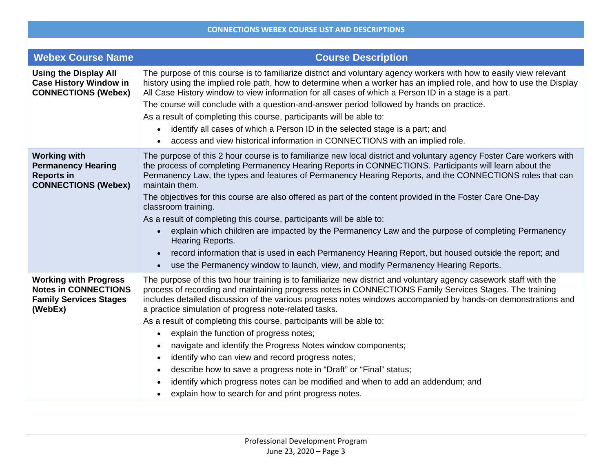| <b>Webex Course Name</b>                                                                                | <b>Course Description</b>                                                                                                                                                                                                                                                                                                                                                                                                                                                                                                                                                                                                                                                                                                                                                                                                                                                                                                    |
|---------------------------------------------------------------------------------------------------------|------------------------------------------------------------------------------------------------------------------------------------------------------------------------------------------------------------------------------------------------------------------------------------------------------------------------------------------------------------------------------------------------------------------------------------------------------------------------------------------------------------------------------------------------------------------------------------------------------------------------------------------------------------------------------------------------------------------------------------------------------------------------------------------------------------------------------------------------------------------------------------------------------------------------------|
| <b>Using the Display All</b><br><b>Case History Window in</b><br><b>CONNECTIONS (Webex)</b>             | The purpose of this course is to familiarize district and voluntary agency workers with how to easily view relevant<br>history using the implied role path, how to determine when a worker has an implied role, and how to use the Display<br>All Case History window to view information for all cases of which a Person ID in a stage is a part.<br>The course will conclude with a question-and-answer period followed by hands on practice.<br>As a result of completing this course, participants will be able to:<br>identify all cases of which a Person ID in the selected stage is a part; and<br>$\bullet$<br>access and view historical information in CONNECTIONS with an implied role.                                                                                                                                                                                                                          |
| <b>Working with</b><br><b>Permanency Hearing</b><br><b>Reports in</b><br><b>CONNECTIONS (Webex)</b>     | The purpose of this 2 hour course is to familiarize new local district and voluntary agency Foster Care workers with<br>the process of completing Permanency Hearing Reports in CONNECTIONS. Participants will learn about the<br>Permanency Law, the types and features of Permanency Hearing Reports, and the CONNECTIONS roles that can<br>maintain them.<br>The objectives for this course are also offered as part of the content provided in the Foster Care One-Day<br>classroom training.<br>As a result of completing this course, participants will be able to:<br>explain which children are impacted by the Permanency Law and the purpose of completing Permanency<br>$\bullet$<br>Hearing Reports.<br>record information that is used in each Permanency Hearing Report, but housed outside the report; and<br>use the Permanency window to launch, view, and modify Permanency Hearing Reports.<br>$\bullet$  |
| <b>Working with Progress</b><br><b>Notes in CONNECTIONS</b><br><b>Family Services Stages</b><br>(WebEx) | The purpose of this two hour training is to familiarize new district and voluntary agency casework staff with the<br>process of recording and maintaining progress notes in CONNECTIONS Family Services Stages. The training<br>includes detailed discussion of the various progress notes windows accompanied by hands-on demonstrations and<br>a practice simulation of progress note-related tasks.<br>As a result of completing this course, participants will be able to:<br>explain the function of progress notes;<br>$\bullet$<br>navigate and identify the Progress Notes window components;<br>$\bullet$<br>identify who can view and record progress notes;<br>$\bullet$<br>describe how to save a progress note in "Draft" or "Final" status;<br>$\bullet$<br>identify which progress notes can be modified and when to add an addendum; and<br>$\bullet$<br>explain how to search for and print progress notes. |